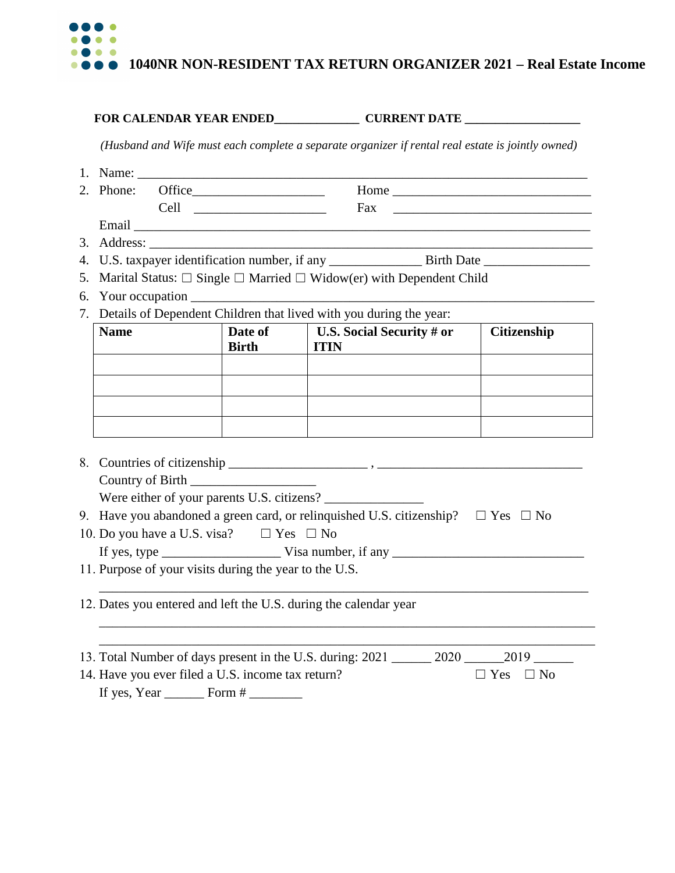

## **FOR CALENDAR YEAR ENDED\_\_\_\_\_\_\_\_\_\_\_\_\_\_ CURRENT DATE \_\_\_\_\_\_\_\_\_\_\_\_\_\_\_\_\_\_\_**

 *(Husband and Wife must each complete a separate organizer if rental real estate is jointly owned)* 

|    | 1. Name:                                                                           |                                                                       |                                                                                                                                                                                                                                                                                                                                                                                                                       |                         |  |  |  |  |  |
|----|------------------------------------------------------------------------------------|-----------------------------------------------------------------------|-----------------------------------------------------------------------------------------------------------------------------------------------------------------------------------------------------------------------------------------------------------------------------------------------------------------------------------------------------------------------------------------------------------------------|-------------------------|--|--|--|--|--|
|    | 2. Phone:                                                                          |                                                                       | Home $\qquad \qquad$ $\qquad \qquad$ $\qquad$ $\qquad$ $\qquad$ $\qquad$ $\qquad$ $\qquad$ $\qquad$ $\qquad$ $\qquad$ $\qquad$ $\qquad$ $\qquad$ $\qquad$ $\qquad$ $\qquad$ $\qquad$ $\qquad$ $\qquad$ $\qquad$ $\qquad$ $\qquad$ $\qquad$ $\qquad$ $\qquad$ $\qquad$ $\qquad$ $\qquad$ $\qquad$ $\qquad$ $\qquad$ $\qquad$ $\qquad$ $\qquad$                                                                         |                         |  |  |  |  |  |
|    |                                                                                    |                                                                       | Fax                                                                                                                                                                                                                                                                                                                                                                                                                   |                         |  |  |  |  |  |
|    |                                                                                    |                                                                       |                                                                                                                                                                                                                                                                                                                                                                                                                       |                         |  |  |  |  |  |
| 3. |                                                                                    |                                                                       |                                                                                                                                                                                                                                                                                                                                                                                                                       |                         |  |  |  |  |  |
| 4. |                                                                                    |                                                                       |                                                                                                                                                                                                                                                                                                                                                                                                                       |                         |  |  |  |  |  |
| 5. | Marital Status: $\Box$ Single $\Box$ Married $\Box$ Widow(er) with Dependent Child |                                                                       |                                                                                                                                                                                                                                                                                                                                                                                                                       |                         |  |  |  |  |  |
| 6. |                                                                                    |                                                                       |                                                                                                                                                                                                                                                                                                                                                                                                                       |                         |  |  |  |  |  |
|    |                                                                                    | 7. Details of Dependent Children that lived with you during the year: |                                                                                                                                                                                                                                                                                                                                                                                                                       |                         |  |  |  |  |  |
|    | <b>Name</b>                                                                        | Date of<br><b>Birth</b>                                               | U.S. Social Security $\#$ or<br><b>ITIN</b>                                                                                                                                                                                                                                                                                                                                                                           | Citizenship             |  |  |  |  |  |
|    |                                                                                    |                                                                       |                                                                                                                                                                                                                                                                                                                                                                                                                       |                         |  |  |  |  |  |
|    | Were either of your parents U.S. citizens?                                         |                                                                       |                                                                                                                                                                                                                                                                                                                                                                                                                       |                         |  |  |  |  |  |
|    |                                                                                    |                                                                       | 9. Have you abandoned a green card, or relinquished U.S. citizenship? $\square$ Yes $\square$ No                                                                                                                                                                                                                                                                                                                      |                         |  |  |  |  |  |
|    | 10. Do you have a U.S. visa? $\square$ Yes $\square$ No                            |                                                                       |                                                                                                                                                                                                                                                                                                                                                                                                                       |                         |  |  |  |  |  |
|    |                                                                                    |                                                                       | If yes, type $\frac{1}{\sqrt{1-\frac{1}{\sqrt{1-\frac{1}{\sqrt{1-\frac{1}{\sqrt{1-\frac{1}{\sqrt{1-\frac{1}{\sqrt{1-\frac{1}{\sqrt{1-\frac{1}{\sqrt{1-\frac{1}{\sqrt{1-\frac{1}{\sqrt{1-\frac{1}{\sqrt{1-\frac{1}{\sqrt{1-\frac{1}{\sqrt{1-\frac{1}{\sqrt{1-\frac{1}{\sqrt{1-\frac{1}{\sqrt{1-\frac{1}{\sqrt{1-\frac{1}{\sqrt{1-\frac{1}{\sqrt{1-\frac{1}{\sqrt{1-\frac{1}{\sqrt{1-\frac{1}{\sqrt{1-\frac{1}{\sqrt{1$ |                         |  |  |  |  |  |
|    | 11. Purpose of your visits during the year to the U.S.                             |                                                                       |                                                                                                                                                                                                                                                                                                                                                                                                                       |                         |  |  |  |  |  |
|    | 12. Dates you entered and left the U.S. during the calendar year                   |                                                                       |                                                                                                                                                                                                                                                                                                                                                                                                                       |                         |  |  |  |  |  |
|    |                                                                                    |                                                                       |                                                                                                                                                                                                                                                                                                                                                                                                                       |                         |  |  |  |  |  |
|    |                                                                                    |                                                                       | 13. Total Number of days present in the U.S. during: 2021 ________ 2020 _______ 2019 _______                                                                                                                                                                                                                                                                                                                          | $\Box$ Yes<br>$\Box$ No |  |  |  |  |  |
|    | 14. Have you ever filed a U.S. income tax return?                                  |                                                                       |                                                                                                                                                                                                                                                                                                                                                                                                                       |                         |  |  |  |  |  |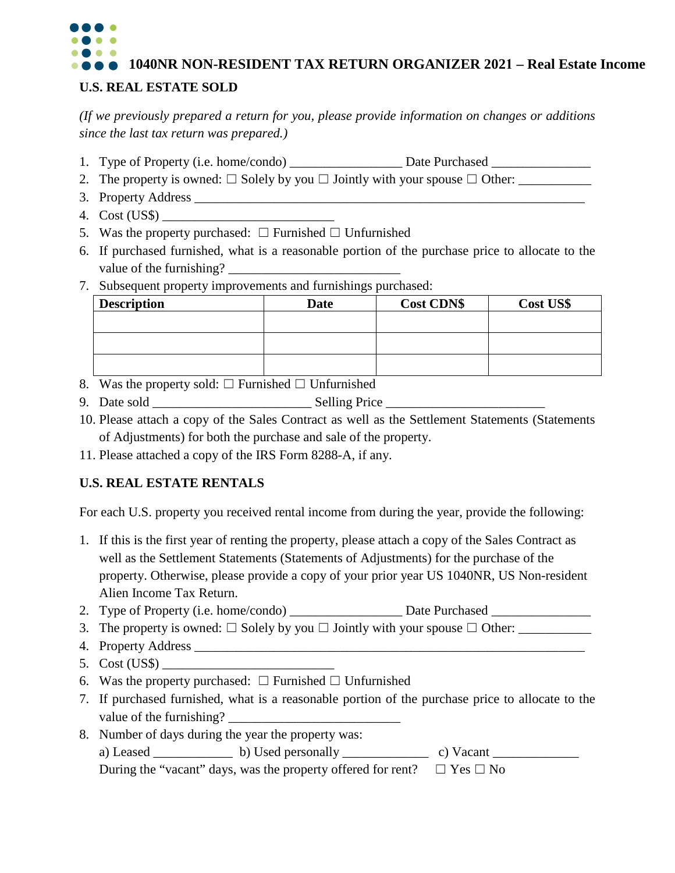**1040NR NON-RESIDENT TAX RETURN ORGANIZER 2021 – Real Estate Income**

## **U.S. REAL ESTATE SOLD**

*(If we previously prepared a return for you, please provide information on changes or additions since the last tax return was prepared.)* 

- 1. Type of Property (i.e. home/condo) \_\_\_\_\_\_\_\_\_\_\_\_\_\_\_\_\_ Date Purchased \_\_\_\_\_\_\_\_\_\_\_\_\_\_\_
- 2. The property is owned:  $\Box$  Solely by you  $\Box$  Jointly with your spouse  $\Box$  Other:
- 3. Property Address \_\_\_\_\_\_\_\_\_\_\_\_\_\_\_\_\_\_\_\_\_\_\_\_\_\_\_\_\_\_\_\_\_\_\_\_\_\_\_\_\_\_\_\_\_\_\_\_\_\_\_\_\_\_\_\_\_\_\_
- 4. Cost (US\$) \_\_\_\_\_\_\_\_\_\_\_\_\_\_\_\_\_\_\_\_\_\_\_\_\_\_
- 5. Was the property purchased:  $\Box$  Furnished  $\Box$  Unfurnished
- 6. If purchased furnished, what is a reasonable portion of the purchase price to allocate to the value of the furnishing?
- 7. Subsequent property improvements and furnishings purchased:

| <b>Description</b> | <b>Date</b> | <b>Cost CDN\$</b> | Cost US\$ |
|--------------------|-------------|-------------------|-----------|
|                    |             |                   |           |
|                    |             |                   |           |
|                    |             |                   |           |
|                    |             |                   |           |

- 8. Was the property sold:  $□$  Furnished  $□$  Unfurnished
- 9. Date sold \_\_\_\_\_\_\_\_\_\_\_\_\_\_\_\_\_\_\_\_\_\_\_\_ Selling Price \_\_\_\_\_\_\_\_\_\_\_\_\_\_\_\_\_\_\_\_\_\_\_\_
- 10. Please attach a copy of the Sales Contract as well as the Settlement Statements (Statements of Adjustments) for both the purchase and sale of the property.
- 11. Please attached a copy of the IRS Form 8288-A, if any.

## **U.S. REAL ESTATE RENTALS**

For each U.S. property you received rental income from during the year, provide the following:

- 1. If this is the first year of renting the property, please attach a copy of the Sales Contract as well as the Settlement Statements (Statements of Adjustments) for the purchase of the property. Otherwise, please provide a copy of your prior year US 1040NR, US Non-resident Alien Income Tax Return.
- 2. Type of Property (i.e. home/condo) \_\_\_\_\_\_\_\_\_\_\_\_\_\_\_\_\_\_\_\_ Date Purchased \_\_\_\_\_\_\_\_\_\_\_\_\_
- 3. The property is owned: ☐ Solely by you ☐ Jointly with your spouse ☐ Other: \_\_\_\_\_\_\_\_\_\_\_
- 4. Property Address \_\_\_\_\_\_\_\_\_\_\_\_\_\_\_\_\_\_\_\_\_\_\_\_\_\_\_\_\_\_\_\_\_\_\_\_\_\_\_\_\_\_\_\_\_\_\_\_\_\_\_\_\_\_\_\_\_\_\_
- 5. Cost (US\$) \_\_\_\_\_\_\_\_\_\_\_\_\_\_\_\_\_\_\_\_\_\_\_\_\_\_
- 6. Was the property purchased:  $\Box$  Furnished  $\Box$  Unfurnished
- 7. If purchased furnished, what is a reasonable portion of the purchase price to allocate to the value of the furnishing?
- 8. Number of days during the year the property was:

a) Leased  $\qquad$  b) Used personally  $\qquad$  c) Vacant  $\qquad$ During the "vacant" days, was the property offered for rent?  $□$  Yes  $□$  No